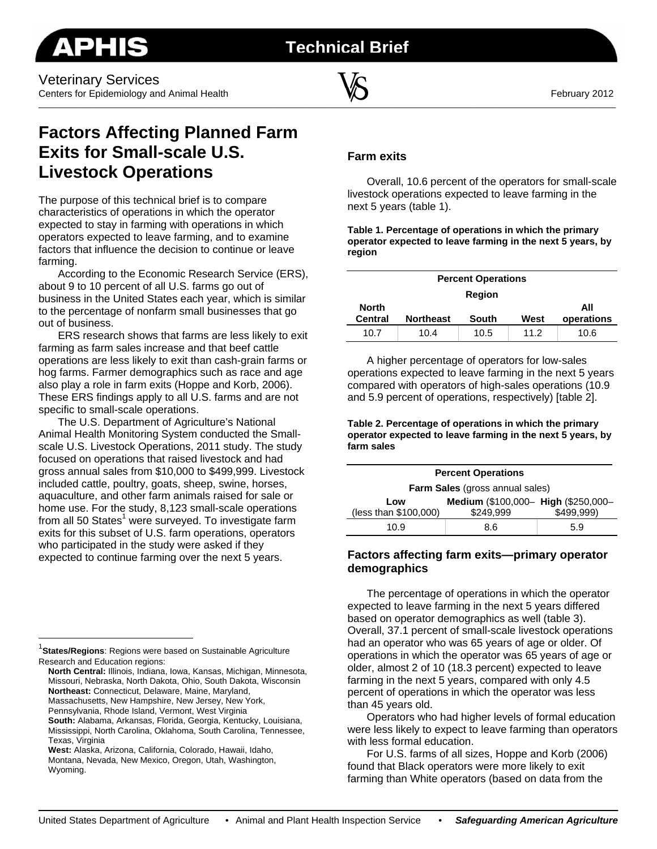**Technical Brief**



# **Factors Affecting Planned Farm Exits for Small-scale U.S. Livestock Operations**

The purpose of this technical brief is to compare characteristics of operations in which the operator expected to stay in farming with operations in which operators expected to leave farming, and to examine factors that influence the decision to continue or leave farming.

According to the Economic Research Service (ERS), about 9 to 10 percent of all U.S. farms go out of business in the United States each year, which is similar to the percentage of nonfarm small businesses that go out of business.

ERS research shows that farms are less likely to exit farming as farm sales increase and that beef cattle operations are less likely to exit than cash-grain farms or hog farms. Farmer demographics such as race and age also play a role in farm exits (Hoppe and Korb, 2006). These ERS findings apply to all U.S. farms and are not specific to small-scale operations.

The U.S. Department of Agriculture's National Animal Health Monitoring System conducted the Smallscale U.S. Livestock Operations, 2011 study. The study focused on operations that raised livestock and had gross annual sales from \$10,000 to \$499,999. Livestock included cattle, poultry, goats, sheep, swine, horses, aquaculture, and other farm animals raised for sale or home use. For the study, 8,123 small-scale operations from all 50 States<sup>1</sup> were surveyed. To investigate farm exits for this subset of U.S. farm operations, operators who participated in the study were asked if they expected to continue farming over the next 5 years.

 $\overline{a}$ 

Massachusetts, New Hampshire, New Jersey, New York, Pennsylvania, Rhode Island, Vermont, West Virginia

# **Farm exits**

Overall, 10.6 percent of the operators for small-scale livestock operations expected to leave farming in the next 5 years (table 1).

**Table 1. Percentage of operations in which the primary operator expected to leave farming in the next 5 years, by region** 

| <b>Percent Operations</b> |                  |              |      |            |  |
|---------------------------|------------------|--------------|------|------------|--|
| <b>Region</b>             |                  |              |      |            |  |
| <b>North</b>              |                  |              |      | All        |  |
| <b>Central</b>            | <b>Northeast</b> | <b>South</b> | West | operations |  |
| 10.7                      | 10.4             | 10.5         | 11.2 | 10.6       |  |

A higher percentage of operators for low-sales operations expected to leave farming in the next 5 years compared with operators of high-sales operations (10.9 and 5.9 percent of operations, respectively) [table 2].

**Table 2. Percentage of operations in which the primary operator expected to leave farming in the next 5 years, by farm sales** 

| <b>Percent Operations</b>              |                                     |            |  |  |
|----------------------------------------|-------------------------------------|------------|--|--|
| <b>Farm Sales</b> (gross annual sales) |                                     |            |  |  |
| Low                                    | Medium (\$100,000- High (\$250,000- |            |  |  |
| (less than \$100,000)                  | \$249.999                           | \$499.999) |  |  |
| 10.9                                   | 8.6                                 | 5.9        |  |  |

## **Factors affecting farm exits—primary operator demographics**

The percentage of operations in which the operator expected to leave farming in the next 5 years differed based on operator demographics as well (table 3). Overall, 37.1 percent of small-scale livestock operations had an operator who was 65 years of age or older. Of operations in which the operator was 65 years of age or older, almost 2 of 10 (18.3 percent) expected to leave farming in the next 5 years, compared with only 4.5 percent of operations in which the operator was less than 45 years old.

Operators who had higher levels of formal education were less likely to expect to leave farming than operators with less formal education.

For U.S. farms of all sizes, Hoppe and Korb (2006) found that Black operators were more likely to exit farming than White operators (based on data from the

<sup>1</sup> **States/Regions**: Regions were based on Sustainable Agriculture Research and Education regions:

**North Central:** Illinois, Indiana, Iowa, Kansas, Michigan, Minnesota, Missouri, Nebraska, North Dakota, Ohio, South Dakota, Wisconsin **Northeast:** Connecticut, Delaware, Maine, Maryland,

**South:** Alabama, Arkansas, Florida, Georgia, Kentucky, Louisiana, Mississippi, North Carolina, Oklahoma, South Carolina, Tennessee, Texas, Virginia

**West:** Alaska, Arizona, California, Colorado, Hawaii, Idaho, Montana, Nevada, New Mexico, Oregon, Utah, Washington, Wyoming.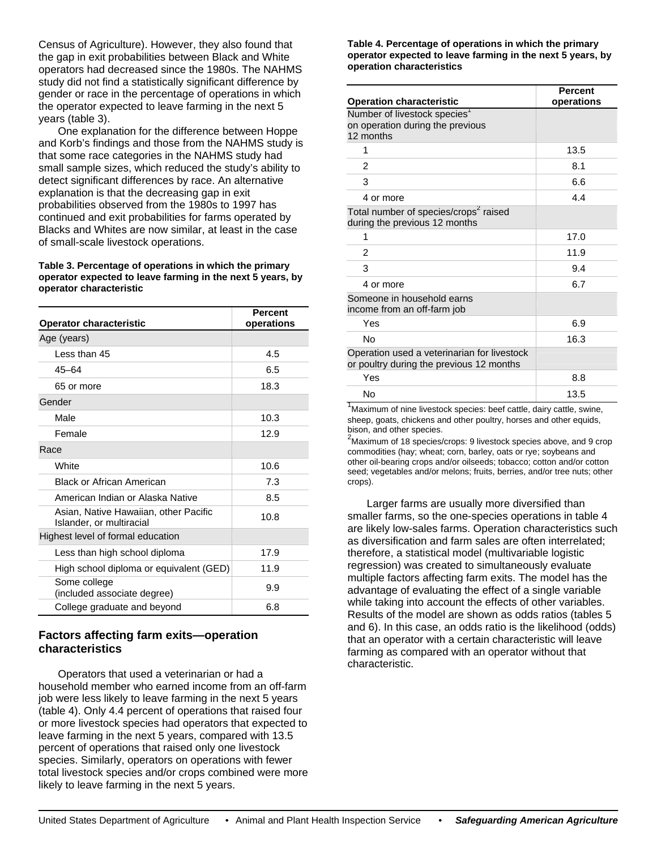Census of Agriculture). However, they also found that the gap in exit probabilities between Black and White operators had decreased since the 1980s. The NAHMS study did not find a statistically significant difference by gender or race in the percentage of operations in which the operator expected to leave farming in the next 5 years (table 3).

One explanation for the difference between Hoppe and Korb's findings and those from the NAHMS study is that some race categories in the NAHMS study had small sample sizes, which reduced the study's ability to detect significant differences by race. An alternative explanation is that the decreasing gap in exit probabilities observed from the 1980s to 1997 has continued and exit probabilities for farms operated by Blacks and Whites are now similar, at least in the case of small-scale livestock operations.

#### **Table 3. Percentage of operations in which the primary operator expected to leave farming in the next 5 years, by operator characteristic**

| <b>Operator characteristic</b>                                    | <b>Percent</b><br>operations |
|-------------------------------------------------------------------|------------------------------|
| Age (years)                                                       |                              |
| Less than 45                                                      | 4.5                          |
| $45 - 64$                                                         | 6.5                          |
| 65 or more                                                        | 18.3                         |
| Gender                                                            |                              |
| Male                                                              | 10.3                         |
| Female                                                            | 12.9                         |
| Race                                                              |                              |
| White                                                             | 10.6                         |
| <b>Black or African American</b>                                  | 7.3                          |
| American Indian or Alaska Native                                  | 8.5                          |
| Asian, Native Hawaiian, other Pacific<br>Islander, or multiracial | 10.8                         |
| Highest level of formal education                                 |                              |
| Less than high school diploma                                     | 17.9                         |
| High school diploma or equivalent (GED)                           | 11.9                         |
| Some college<br>(included associate degree)                       | 9.9                          |
| College graduate and beyond                                       | 6.8                          |

# **Factors affecting farm exits—operation characteristics**

Operators that used a veterinarian or had a household member who earned income from an off-farm job were less likely to leave farming in the next 5 years (table 4). Only 4.4 percent of operations that raised four or more livestock species had operators that expected to leave farming in the next 5 years, compared with 13.5 percent of operations that raised only one livestock species. Similarly, operators on operations with fewer total livestock species and/or crops combined were more likely to leave farming in the next 5 years.

#### **Table 4. Percentage of operations in which the primary operator expected to leave farming in the next 5 years, by operation characteristics**

| <b>Operation characteristic</b>                                                           | <b>Percent</b><br>operations |
|-------------------------------------------------------------------------------------------|------------------------------|
| Number of livestock species <sup>1</sup><br>on operation during the previous<br>12 months |                              |
| 1                                                                                         | 13.5                         |
| 2                                                                                         | 8.1                          |
| 3                                                                                         | 6.6                          |
| 4 or more                                                                                 | 44                           |
| Total number of species/crops <sup>2</sup> raised<br>during the previous 12 months        |                              |
| 1                                                                                         | 17.0                         |
| 2                                                                                         | 11.9                         |
| 3                                                                                         | 9.4                          |
| 4 or more                                                                                 | 6.7                          |
| Someone in household earns<br>income from an off-farm job                                 |                              |
| Yes                                                                                       | 6.9                          |
| Nο                                                                                        | 16.3                         |
| Operation used a veterinarian for livestock<br>or poultry during the previous 12 months   |                              |
| Yes                                                                                       | 8.8                          |
| No                                                                                        | 13.5                         |

<sup>1</sup>Maximum of nine livestock species: beef cattle, dairy cattle, swine, sheep, goats, chickens and other poultry, horses and other equids, bison, and other species.

<sup>2</sup>Maximum of 18 species/crops: 9 livestock species above, and 9 crop commodities (hay; wheat; corn, barley, oats or rye; soybeans and other oil-bearing crops and/or oilseeds; tobacco; cotton and/or cotton seed; vegetables and/or melons; fruits, berries, and/or tree nuts; other crops).

Larger farms are usually more diversified than smaller farms, so the one-species operations in table 4 are likely low-sales farms. Operation characteristics such as diversification and farm sales are often interrelated; therefore, a statistical model (multivariable logistic regression) was created to simultaneously evaluate multiple factors affecting farm exits. The model has the advantage of evaluating the effect of a single variable while taking into account the effects of other variables. Results of the model are shown as odds ratios (tables 5 and 6). In this case, an odds ratio is the likelihood (odds) that an operator with a certain characteristic will leave farming as compared with an operator without that characteristic.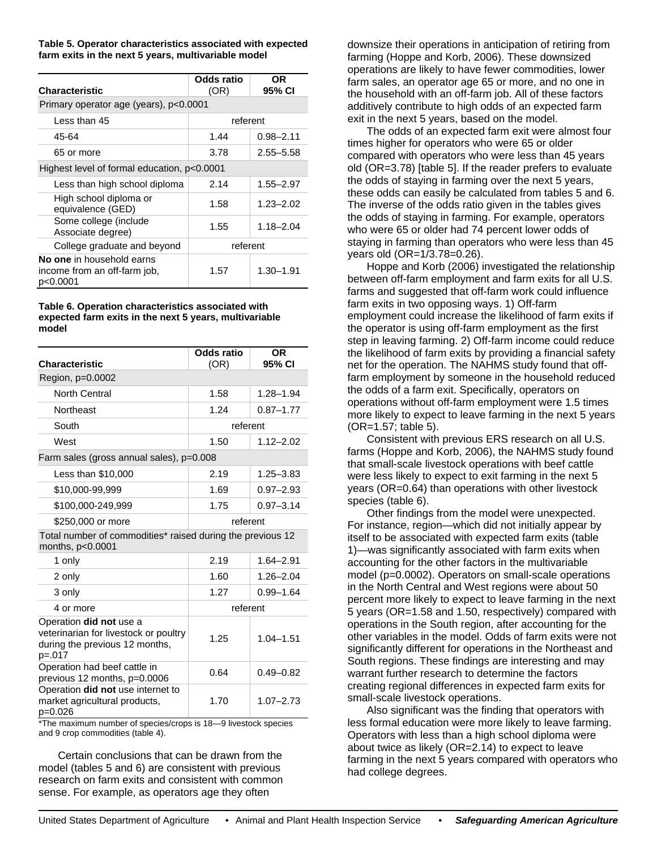**Table 5. Operator characteristics associated with expected farm exits in the next 5 years, multivariable model** 

| Characteristic                                                        | Odds ratio<br>(OR) | OR<br>95% CI  |  |  |
|-----------------------------------------------------------------------|--------------------|---------------|--|--|
| Primary operator age (years), p<0.0001                                |                    |               |  |  |
| Less than 45                                                          | referent           |               |  |  |
| 45-64                                                                 | 1.44               | $0.98 - 2.11$ |  |  |
| 65 or more                                                            | 3.78               | $2.55 - 5.58$ |  |  |
| Highest level of formal education, p<0.0001                           |                    |               |  |  |
| Less than high school diploma                                         | 2.14               | 1.55–2.97     |  |  |
| High school diploma or<br>equivalence (GED)                           | 1.58               | $1.23 - 2.02$ |  |  |
| Some college (include<br>Associate degree)                            | 1.55               | $1.18 - 2.04$ |  |  |
| College graduate and beyond                                           | referent           |               |  |  |
| No one in household earns<br>income from an off-farm job,<br>p<0.0001 | 1.57               | $1.30 - 1.91$ |  |  |

#### **Table 6. Operation characteristics associated with expected farm exits in the next 5 years, multivariable model**

| <b>Characteristic</b>                                                                                          | Odds ratio<br>(OR) | <b>OR</b><br>95% CI |  |  |
|----------------------------------------------------------------------------------------------------------------|--------------------|---------------------|--|--|
| Region, p=0.0002                                                                                               |                    |                     |  |  |
| <b>North Central</b>                                                                                           | 1.58               | $1.28 - 1.94$       |  |  |
| Northeast                                                                                                      | 1.24               | $0.87 - 1.77$       |  |  |
| South                                                                                                          | referent           |                     |  |  |
| West                                                                                                           | 1.50               | $1.12 - 2.02$       |  |  |
| Farm sales (gross annual sales), p=0.008                                                                       |                    |                     |  |  |
| Less than \$10,000                                                                                             | 2.19               | $1.25 - 3.83$       |  |  |
| \$10,000-99,999                                                                                                | 1.69               | $0.97 - 2.93$       |  |  |
| \$100,000-249,999                                                                                              | 1.75               | $0.97 - 3.14$       |  |  |
| \$250,000 or more                                                                                              | referent           |                     |  |  |
| Total number of commodities* raised during the previous 12<br>months, p<0.0001                                 |                    |                     |  |  |
| 1 only                                                                                                         | 2.19               | $1.64 - 2.91$       |  |  |
| 2 only                                                                                                         | 1.60               | $1.26 - 2.04$       |  |  |
| 3 only                                                                                                         | 1.27               | $0.99 - 1.64$       |  |  |
| 4 or more                                                                                                      | referent           |                     |  |  |
| Operation did not use a<br>veterinarian for livestock or poultry<br>during the previous 12 months,<br>$p=.017$ | 1.25               | $1.04 - 1.51$       |  |  |
| Operation had beef cattle in<br>previous 12 months, p=0.0006                                                   | 0.64               | $0.49 - 0.82$       |  |  |
| Operation did not use internet to<br>market agricultural products,<br>$p=0.026$                                | 1.70               | $1.07 - 2.73$       |  |  |

\*The maximum number of species/crops is 18—9 livestock species and 9 crop commodities (table 4).

Certain conclusions that can be drawn from the model (tables 5 and 6) are consistent with previous research on farm exits and consistent with common sense. For example, as operators age they often

downsize their operations in anticipation of retiring from farming (Hoppe and Korb, 2006). These downsized operations are likely to have fewer commodities, lower farm sales, an operator age 65 or more, and no one in the household with an off-farm job. All of these factors additively contribute to high odds of an expected farm exit in the next 5 years, based on the model.

The odds of an expected farm exit were almost four times higher for operators who were 65 or older compared with operators who were less than 45 years old (OR=3.78) [table 5]. If the reader prefers to evaluate the odds of staying in farming over the next 5 years, these odds can easily be calculated from tables 5 and 6. The inverse of the odds ratio given in the tables gives the odds of staying in farming. For example, operators who were 65 or older had 74 percent lower odds of staying in farming than operators who were less than 45 years old (OR=1/3.78=0.26).

Hoppe and Korb (2006) investigated the relationship between off-farm employment and farm exits for all U.S. farms and suggested that off-farm work could influence farm exits in two opposing ways. 1) Off-farm employment could increase the likelihood of farm exits if the operator is using off-farm employment as the first step in leaving farming. 2) Off-farm income could reduce the likelihood of farm exits by providing a financial safety net for the operation. The NAHMS study found that offfarm employment by someone in the household reduced the odds of a farm exit. Specifically, operators on operations without off-farm employment were 1.5 times more likely to expect to leave farming in the next 5 years (OR=1.57; table 5).

Consistent with previous ERS research on all U.S. farms (Hoppe and Korb, 2006), the NAHMS study found that small-scale livestock operations with beef cattle were less likely to expect to exit farming in the next 5 years (OR=0.64) than operations with other livestock species (table 6).

Other findings from the model were unexpected. For instance, region—which did not initially appear by itself to be associated with expected farm exits (table 1)—was significantly associated with farm exits when accounting for the other factors in the multivariable model (p=0.0002). Operators on small-scale operations in the North Central and West regions were about 50 percent more likely to expect to leave farming in the next 5 years (OR=1.58 and 1.50, respectively) compared with operations in the South region, after accounting for the other variables in the model. Odds of farm exits were not significantly different for operations in the Northeast and South regions. These findings are interesting and may warrant further research to determine the factors creating regional differences in expected farm exits for small-scale livestock operations.

Also significant was the finding that operators with less formal education were more likely to leave farming. Operators with less than a high school diploma were about twice as likely (OR=2.14) to expect to leave farming in the next 5 years compared with operators who had college degrees.